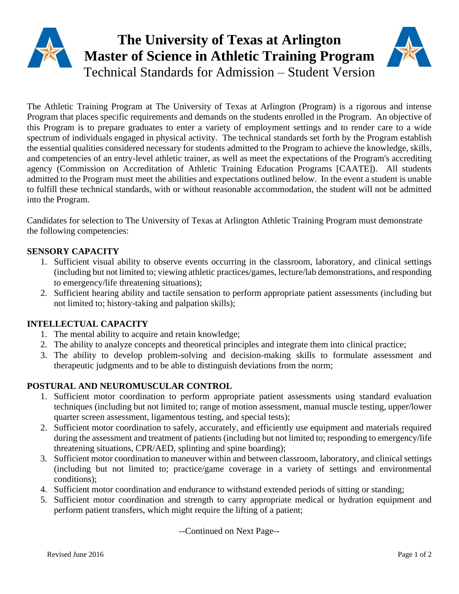# **The University of Texas at Arlington Master of Science in Athletic Training Program** Technical Standards for Admission – Student Version

The Athletic Training Program at The University of Texas at Arlington (Program) is a rigorous and intense Program that places specific requirements and demands on the students enrolled in the Program. An objective of this Program is to prepare graduates to enter a variety of employment settings and to render care to a wide spectrum of individuals engaged in physical activity. The technical standards set forth by the Program establish the essential qualities considered necessary for students admitted to the Program to achieve the knowledge, skills, and competencies of an entry-level athletic trainer, as well as meet the expectations of the Program's accrediting agency (Commission on Accreditation of Athletic Training Education Programs [CAATE]). All students admitted to the Program must meet the abilities and expectations outlined below. In the event a student is unable to fulfill these technical standards, with or without reasonable accommodation, the student will not be admitted into the Program.

Candidates for selection to The University of Texas at Arlington Athletic Training Program must demonstrate the following competencies:

#### **SENSORY CAPACITY**

- 1. Sufficient visual ability to observe events occurring in the classroom, laboratory, and clinical settings (including but not limited to; viewing athletic practices/games, lecture/lab demonstrations, and responding to emergency/life threatening situations);
- 2. Sufficient hearing ability and tactile sensation to perform appropriate patient assessments (including but not limited to; history-taking and palpation skills);

### **INTELLECTUAL CAPACITY**

- 1. The mental ability to acquire and retain knowledge;
- 2. The ability to analyze concepts and theoretical principles and integrate them into clinical practice;
- 3. The ability to develop problem-solving and decision-making skills to formulate assessment and therapeutic judgments and to be able to distinguish deviations from the norm;

### **POSTURAL AND NEUROMUSCULAR CONTROL**

- 1. Sufficient motor coordination to perform appropriate patient assessments using standard evaluation techniques (including but not limited to; range of motion assessment, manual muscle testing, upper/lower quarter screen assessment, ligamentous testing, and special tests);
- 2. Sufficient motor coordination to safely, accurately, and efficiently use equipment and materials required during the assessment and treatment of patients (including but not limited to; responding to emergency/life threatening situations, CPR/AED, splinting and spine boarding);
- 3. Sufficient motor coordination to maneuver within and between classroom, laboratory, and clinical settings (including but not limited to; practice/game coverage in a variety of settings and environmental conditions);
- 4. Sufficient motor coordination and endurance to withstand extended periods of sitting or standing;
- 5. Sufficient motor coordination and strength to carry appropriate medical or hydration equipment and perform patient transfers, which might require the lifting of a patient;

--Continued on Next Page--